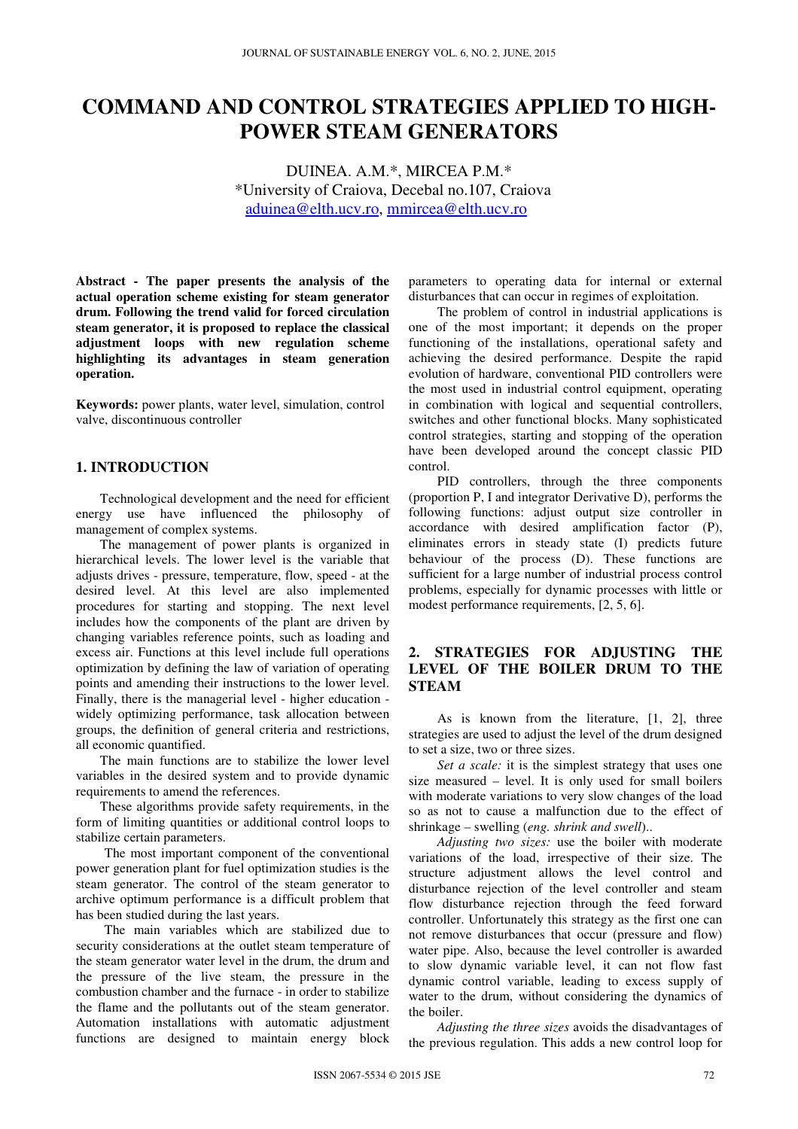# **COMMAND AND CONTROL STRATEGIES APPLIED TO HIGH-POWER STEAM GENERATORS**

DUINEA. A.M.\*, MIRCEA P.M.\* \*University of Craiova, Decebal no.107, Craiova aduinea@elth.ucv.ro, mmircea@elth.ucv.ro

**Abstract - The paper presents the analysis of the actual operation scheme existing for steam generator drum. Following the trend valid for forced circulation steam generator, it is proposed to replace the classical adjustment loops with new regulation scheme highlighting its advantages in steam generation operation.**

**Keywords:** power plants, water level, simulation, control valve, discontinuous controller

# **1. INTRODUCTION**

Technological development and the need for efficient energy use have influenced the philosophy of management of complex systems.

The management of power plants is organized in hierarchical levels. The lower level is the variable that adjusts drives - pressure, temperature, flow, speed - at the desired level. At this level are also implemented procedures for starting and stopping. The next level includes how the components of the plant are driven by changing variables reference points, such as loading and excess air. Functions at this level include full operations optimization by defining the law of variation of operating points and amending their instructions to the lower level. Finally, there is the managerial level - higher education widely optimizing performance, task allocation between groups, the definition of general criteria and restrictions, all economic quantified.

The main functions are to stabilize the lower level variables in the desired system and to provide dynamic requirements to amend the references.

These algorithms provide safety requirements, in the form of limiting quantities or additional control loops to stabilize certain parameters.

The most important component of the conventional power generation plant for fuel optimization studies is the steam generator. The control of the steam generator to archive optimum performance is a difficult problem that has been studied during the last years.

The main variables which are stabilized due to security considerations at the outlet steam temperature of the steam generator water level in the drum, the drum and the pressure of the live steam, the pressure in the combustion chamber and the furnace - in order to stabilize the flame and the pollutants out of the steam generator. Automation installations with automatic adjustment functions are designed to maintain energy block

parameters to operating data for internal or external disturbances that can occur in regimes of exploitation.

The problem of control in industrial applications is one of the most important; it depends on the proper functioning of the installations, operational safety and achieving the desired performance. Despite the rapid evolution of hardware, conventional PID controllers were the most used in industrial control equipment, operating in combination with logical and sequential controllers, switches and other functional blocks. Many sophisticated control strategies, starting and stopping of the operation have been developed around the concept classic PID control.

PID controllers, through the three components (proportion P, I and integrator Derivative D), performs the following functions: adjust output size controller in accordance with desired amplification factor (P), eliminates errors in steady state (I) predicts future behaviour of the process (D). These functions are sufficient for a large number of industrial process control problems, especially for dynamic processes with little or modest performance requirements, [2, 5, 6].

# **2. STRATEGIES FOR ADJUSTING THE LEVEL OF THE BOILER DRUM TO THE STEAM**

As is known from the literature, [1, 2], three strategies are used to adjust the level of the drum designed to set a size, two or three sizes.

*Set a scale:* it is the simplest strategy that uses one size measured – level. It is only used for small boilers with moderate variations to very slow changes of the load so as not to cause a malfunction due to the effect of shrinkage – swelling (*eng. shrink and swell*)..

*Adjusting two sizes:* use the boiler with moderate variations of the load, irrespective of their size. The structure adjustment allows the level control and disturbance rejection of the level controller and steam flow disturbance rejection through the feed forward controller. Unfortunately this strategy as the first one can not remove disturbances that occur (pressure and flow) water pipe. Also, because the level controller is awarded to slow dynamic variable level, it can not flow fast dynamic control variable, leading to excess supply of water to the drum, without considering the dynamics of the boiler.

*Adjusting the three sizes* avoids the disadvantages of the previous regulation. This adds a new control loop for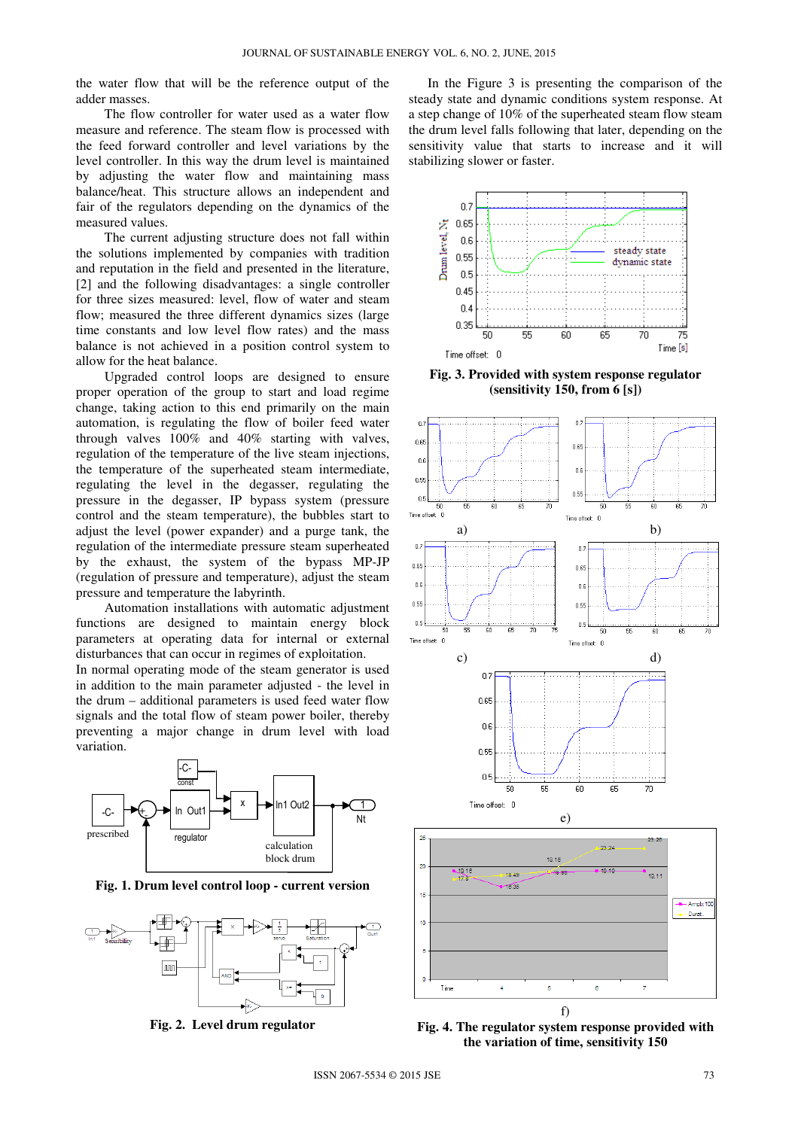the water flow that will be the reference output of the adder masses.

The flow controller for water used as a water flow measure and reference. The steam flow is processed with the feed forward controller and level variations by the level controller. In this way the drum level is maintained by adjusting the water flow and maintaining mass balance/heat. This structure allows an independent and fair of the regulators depending on the dynamics of the measured values.

The current adjusting structure does not fall within the solutions implemented by companies with tradition and reputation in the field and presented in the literature, [2] and the following disadvantages: a single controller for three sizes measured: level, flow of water and steam flow; measured the three different dynamics sizes (large time constants and low level flow rates) and the mass balance is not achieved in a position control system to allow for the heat balance.

Upgraded control loops are designed to ensure proper operation of the group to start and load regime change, taking action to this end primarily on the main automation, is regulating the flow of boiler feed water through valves 100% and 40% starting with valves, regulation of the temperature of the live steam injections, the temperature of the superheated steam intermediate, regulating the level in the degasser, regulating the pressure in the degasser, IP bypass system (pressure control and the steam temperature), the bubbles start to adjust the level (power expander) and a purge tank, the regulation of the intermediate pressure steam superheated by the exhaust, the system of the bypass MP-JP (regulation of pressure and temperature), adjust the steam pressure and temperature the labyrinth.

Automation installations with automatic adjustment functions are designed to maintain energy block parameters at operating data for internal or external disturbances that can occur in regimes of exploitation.

In normal operating mode of the steam generator is used in addition to the main parameter adjusted - the level in the drum – additional parameters is used feed water flow signals and the total flow of steam power boiler, thereby preventing a major change in drum level with load variation.



**Fig. 1. Drum level control loop - current version** 



**Fig. 2. Level drum regulator**

In the Figure 3 is presenting the comparison of the steady state and dynamic conditions system response. At a step change of 10% of the superheated steam flow steam the drum level falls following that later, depending on the sensitivity value that starts to increase and it will stabilizing slower or faster.



**Fig. 3. Provided with system response regulator (sensitivity 150, from 6 [s])** 



**Fig. 4. The regulator system response provided with the variation of time, sensitivity 150**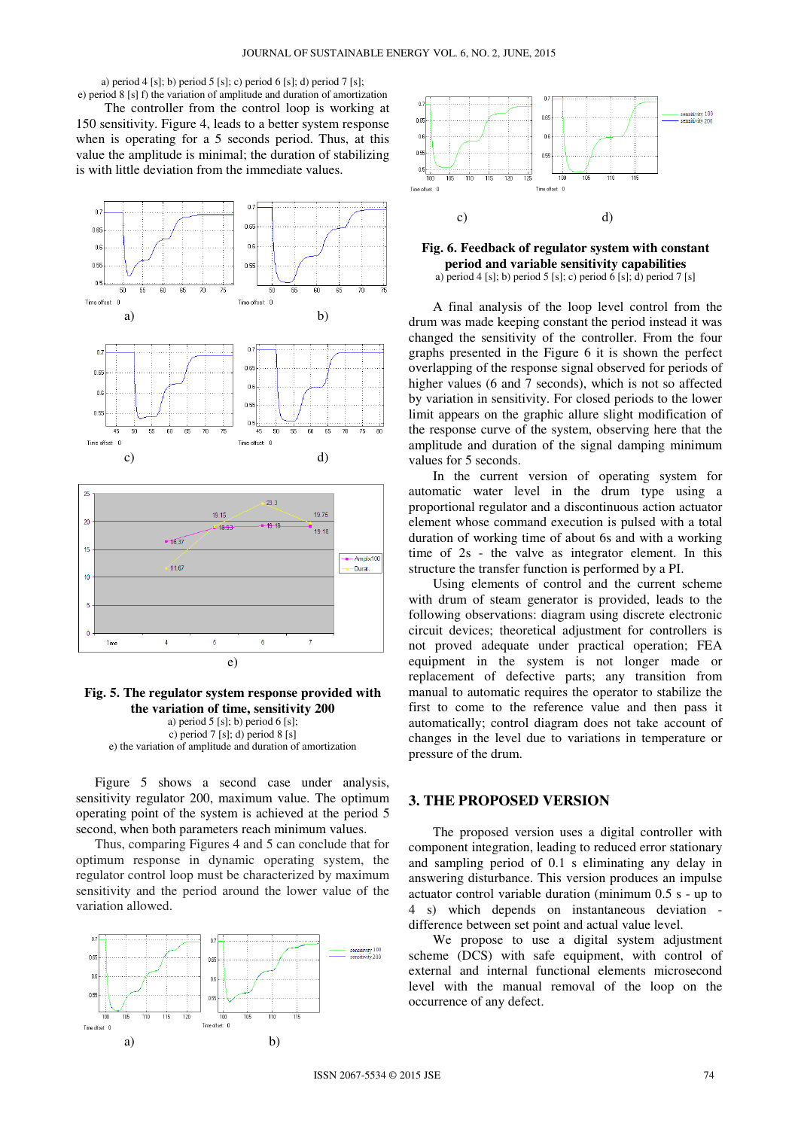a) period 4 [s]; b) period 5 [s]; c) period 6 [s]; d) period 7 [s];

e) period 8 [s] f) the variation of amplitude and duration of amortization The controller from the control loop is working at 150 sensitivity. Figure 4, leads to a better system response when is operating for a 5 seconds period. Thus, at this value the amplitude is minimal; the duration of stabilizing is with little deviation from the immediate values.



# **Fig. 5. The regulator system response provided with the variation of time, sensitivity 200**

a) period 5 [s]; b) period 6 [s]; c) period  $7 \text{ [s]}$ ; d) period  $8 \text{ [s]}$ e) the variation of amplitude and duration of amortization

Figure 5 shows a second case under analysis, sensitivity regulator 200, maximum value. The optimum operating point of the system is achieved at the period 5 second, when both parameters reach minimum values.

Thus, comparing Figures 4 and 5 can conclude that for optimum response in dynamic operating system, the regulator control loop must be characterized by maximum sensitivity and the period around the lower value of the variation allowed.





#### **Fig. 6. Feedback of regulator system with constant period and variable sensitivity capabilities**  a) period 4 [s]; b) period 5 [s]; c) period 6 [s]; d) period 7 [s]

A final analysis of the loop level control from the drum was made keeping constant the period instead it was changed the sensitivity of the controller. From the four graphs presented in the Figure 6 it is shown the perfect overlapping of the response signal observed for periods of higher values (6 and 7 seconds), which is not so affected by variation in sensitivity. For closed periods to the lower limit appears on the graphic allure slight modification of the response curve of the system, observing here that the amplitude and duration of the signal damping minimum values for 5 seconds.

In the current version of operating system for automatic water level in the drum type using a proportional regulator and a discontinuous action actuator element whose command execution is pulsed with a total duration of working time of about 6s and with a working time of 2s - the valve as integrator element. In this structure the transfer function is performed by a PI.

Using elements of control and the current scheme with drum of steam generator is provided, leads to the following observations: diagram using discrete electronic circuit devices; theoretical adjustment for controllers is not proved adequate under practical operation; FEA equipment in the system is not longer made or replacement of defective parts; any transition from manual to automatic requires the operator to stabilize the first to come to the reference value and then pass it automatically; control diagram does not take account of changes in the level due to variations in temperature or pressure of the drum.

### **3. THE PROPOSED VERSION**

The proposed version uses a digital controller with component integration, leading to reduced error stationary and sampling period of 0.1 s eliminating any delay in answering disturbance. This version produces an impulse actuator control variable duration (minimum 0.5 s - up to 4 s) which depends on instantaneous deviation difference between set point and actual value level.

We propose to use a digital system adjustment scheme (DCS) with safe equipment, with control of external and internal functional elements microsecond level with the manual removal of the loop on the occurrence of any defect.